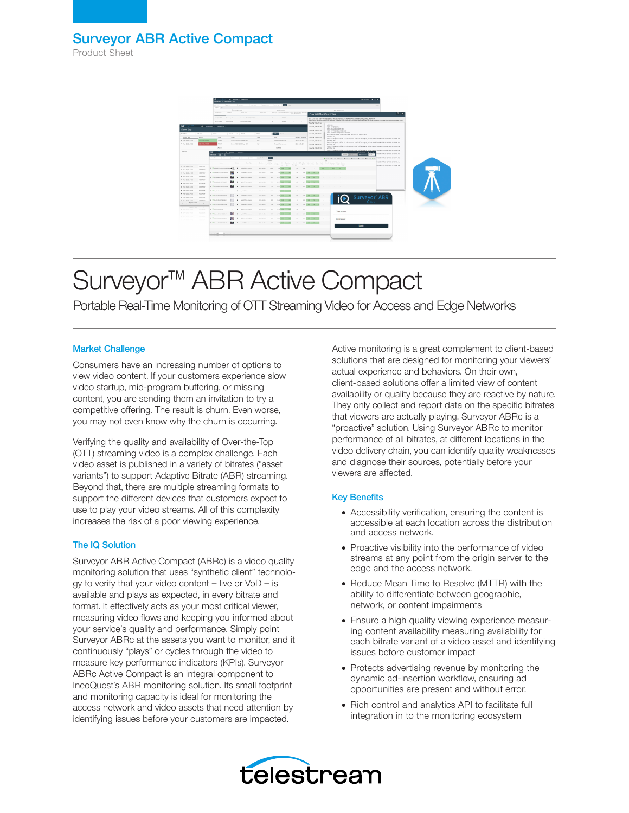Product Sheet



# Surveyor<sup>™</sup> ABR Active Compact

Portable Real-Time Monitoring of OTT Streaming Video for Access and Edge Networks

### Market Challenge

Consumers have an increasing number of options to view video content. If your customers experience slow video startup, mid-program buffering, or missing content, you are sending them an invitation to try a competitive offering. The result is churn. Even worse, you may not even know why the churn is occurring.

Verifying the quality and availability of Over-the-Top (OTT) streaming video is a complex challenge. Each video asset is published in a variety of bitrates ("asset variants") to support Adaptive Bitrate (ABR) streaming. Beyond that, there are multiple streaming formats to support the different devices that customers expect to use to play your video streams. All of this complexity increases the risk of a poor viewing experience.

### The IQ Solution

Surveyor ABR Active Compact (ABRc) is a video quality monitoring solution that uses "synthetic client" technology to verify that your video content  $-$  live or  $V$ oD  $-$  is available and plays as expected, in every bitrate and format. It effectively acts as your most critical viewer, measuring video flows and keeping you informed about your service's quality and performance. Simply point Surveyor ABRc at the assets you want to monitor, and it continuously "plays" or cycles through the video to measure key performance indicators (KPIs). Surveyor ABRc Active Compact is an integral component to IneoQuest's ABR monitoring solution. Its small footprint and monitoring capacity is ideal for monitoring the access network and video assets that need attention by identifying issues before your customers are impacted.

Active monitoring is a great complement to client-based solutions that are designed for monitoring your viewers' actual experience and behaviors. On their own, client-based solutions offer a limited view of content availability or quality because they are reactive by nature. They only collect and report data on the specific bitrates that viewers are actually playing. Surveyor ABRc is a "proactive" solution. Using Surveyor ABRc to monitor performance of all bitrates, at different locations in the video delivery chain, you can identify quality weaknesses and diagnose their sources, potentially before your viewers are affected.

## Key Benefits

- Accessibility verification, ensuring the content is accessible at each location across the distribution and access network.
- Proactive visibility into the performance of video streams at any point from the origin server to the edge and the access network.
- Reduce Mean Time to Resolve (MTTR) with the ability to differentiate between geographic, network, or content impairments
- Ensure a high quality viewing experience measuring content availability measuring availability for each bitrate variant of a video asset and identifying issues before customer impact
- Protects advertising revenue by monitoring the dynamic ad-insertion workflow, ensuring ad opportunities are present and without error.
- Rich control and analytics API to facilitate full integration in to the monitoring ecosystem